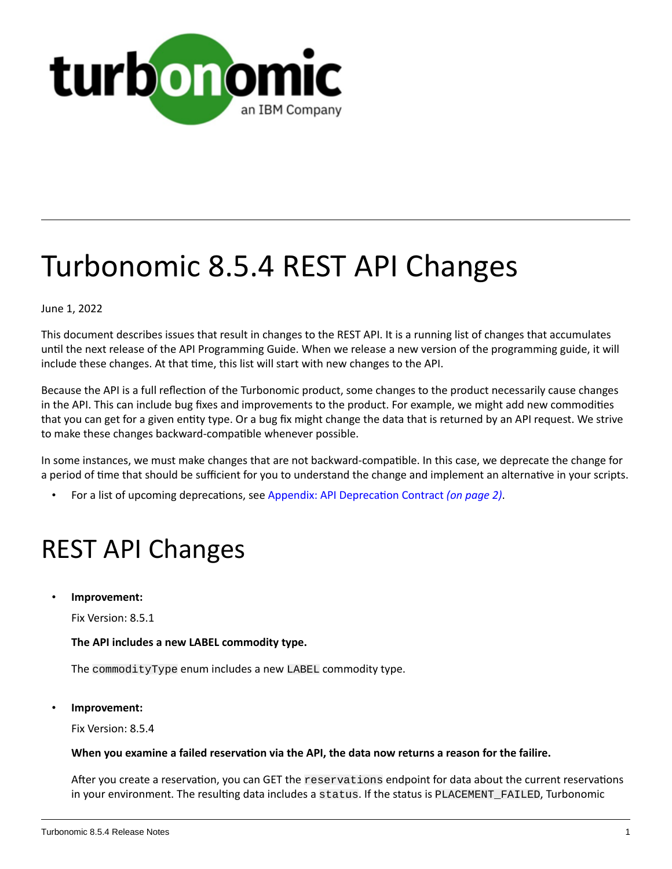

# Turbonomic 8.5.4 REST API Changes

June 1, 2022

This document describes issues that result in changes to the REST API. It is a running list of changes that accumulates until the next release of the API Programming Guide. When we release a new version of the programming guide, it will include these changes. At that time, this list will start with new changes to the API.

Because the API is a full reflection of the Turbonomic product, some changes to the product necessarily cause changes in the API. This can include bug fixes and improvements to the product. For example, we might add new commodities that you can get for a given entity type. Or a bug fix might change the data that is returned by an API request. We strive to make these changes backward-compatible whenever possible.

In some instances, we must make changes that are not backward-compatible. In this case, we deprecate the change for a period of time that should be sufficient for you to understand the change and implement an alternative in your scripts.

• For a list of upcoming deprecations, see Appendix: API [Deprecation](#page-1-0) Contract *[\(on page 2\)](#page-1-0)*.

# REST API Changes

• **Improvement:**

Fix Version: 8.5.1

#### **The API includes a new LABEL commodity type.**

The commodityType enum includes a new LABEL commodity type.

• **Improvement:**

Fix Version: 8.5.4

#### **When you examine a failed reservation via the API, the data now returns a reason for the failire.**

After you create a reservation, you can GET the reservations endpoint for data about the current reservations in your environment. The resulting data includes a status. If the status is PLACEMENT\_FAILED, Turbonomic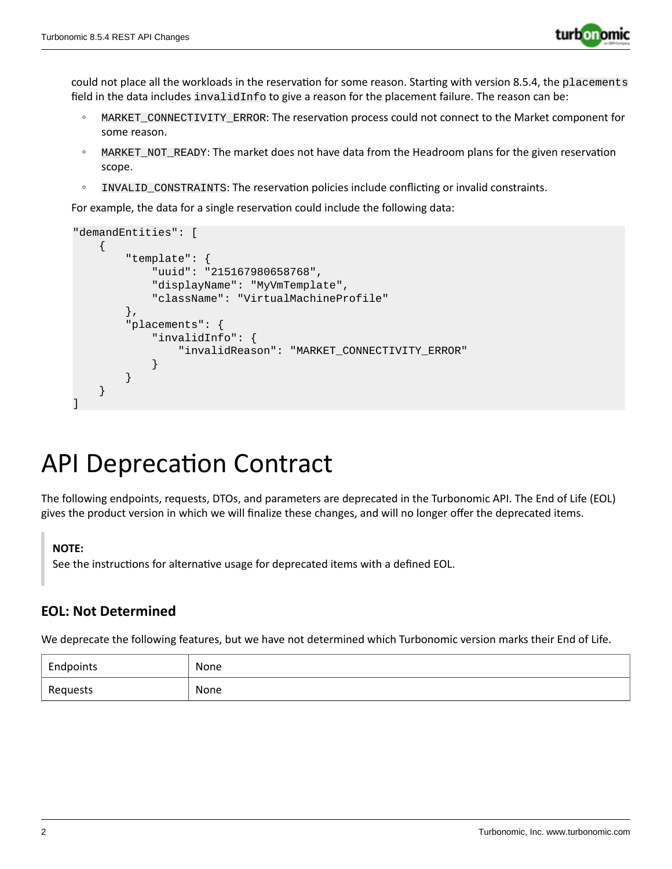

could not place all the workloads in the reservation for some reason. Starting with version 8.5.4, the placements field in the data includes invalidInfo to give a reason for the placement failure. The reason can be:

- MARKET\_CONNECTIVITY\_ERROR: The reservation process could not connect to the Market component for some reason.
- MARKET\_NOT\_READY: The market does not have data from the Headroom plans for the given reservation scope.
- INVALID\_CONSTRAINTS: The reservation policies include conflicting or invalid constraints.

For example, the data for a single reservation could include the following data:

```
"demandEntities": [
     {
         "template": {
             "uuid": "215167980658768",
             "displayName": "MyVmTemplate",
             "className": "VirtualMachineProfile"
         },
         "placements": {
             "invalidInfo": {
                 "invalidReason": "MARKET_CONNECTIVITY_ERROR"
 }
         }
     }
]
```
## <span id="page-1-0"></span>API Deprecation Contract

The following endpoints, requests, DTOs, and parameters are deprecated in the Turbonomic API. The End of Life (EOL) gives the product version in which we will finalize these changes, and will no longer offer the deprecated items.

#### **NOTE:**

See the instructions for alternative usage for deprecated items with a defined EOL.

### **EOL: Not Determined**

We deprecate the following features, but we have not determined which Turbonomic version marks their End of Life.

| Endpoints | None |
|-----------|------|
| Reguests  | None |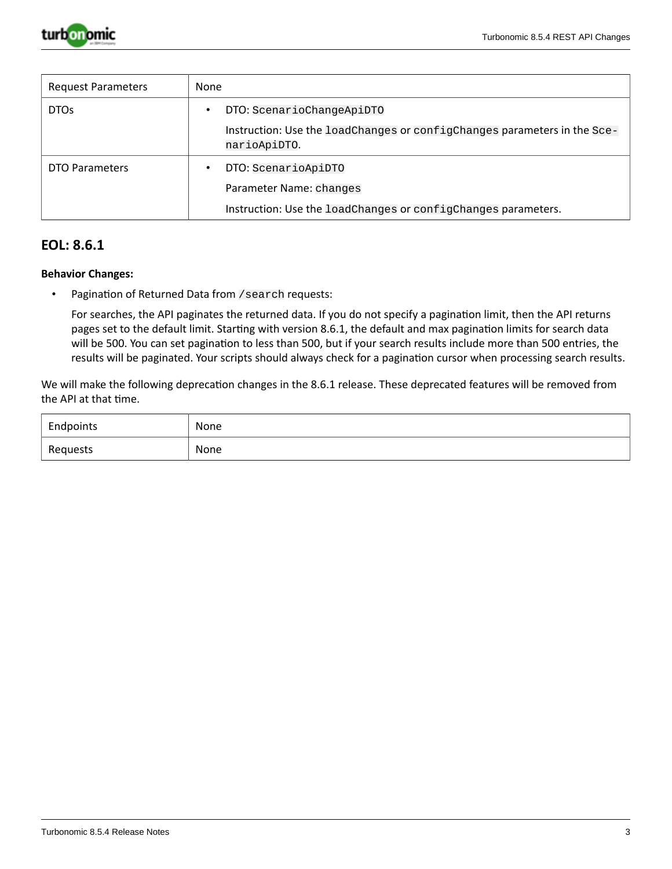

| <b>Request Parameters</b> | None                                                                                     |
|---------------------------|------------------------------------------------------------------------------------------|
| DTO <sub>S</sub>          | DTO: ScenarioChangeApiDTO<br>$\bullet$                                                   |
|                           | Instruction: Use the loadChanges or configChanges parameters in the Sce-<br>narioApiDTO. |
| DTO Parameters            | DTO: ScenarioApiDTO<br>٠                                                                 |
|                           | Parameter Name: changes<br>Instruction: Use the loadChanges or configChanges parameters. |

#### **EOL: 8.6.1**

#### **Behavior Changes:**

• Pagination of Returned Data from /search requests:

For searches, the API paginates the returned data. If you do not specify a pagination limit, then the API returns pages set to the default limit. Starting with version 8.6.1, the default and max pagination limits for search data will be 500. You can set pagination to less than 500, but if your search results include more than 500 entries, the results will be paginated. Your scripts should always check for a pagination cursor when processing search results.

We will make the following deprecation changes in the 8.6.1 release. These deprecated features will be removed from the API at that time.

| Endpoints | None        |
|-----------|-------------|
| Requests  | None<br>___ |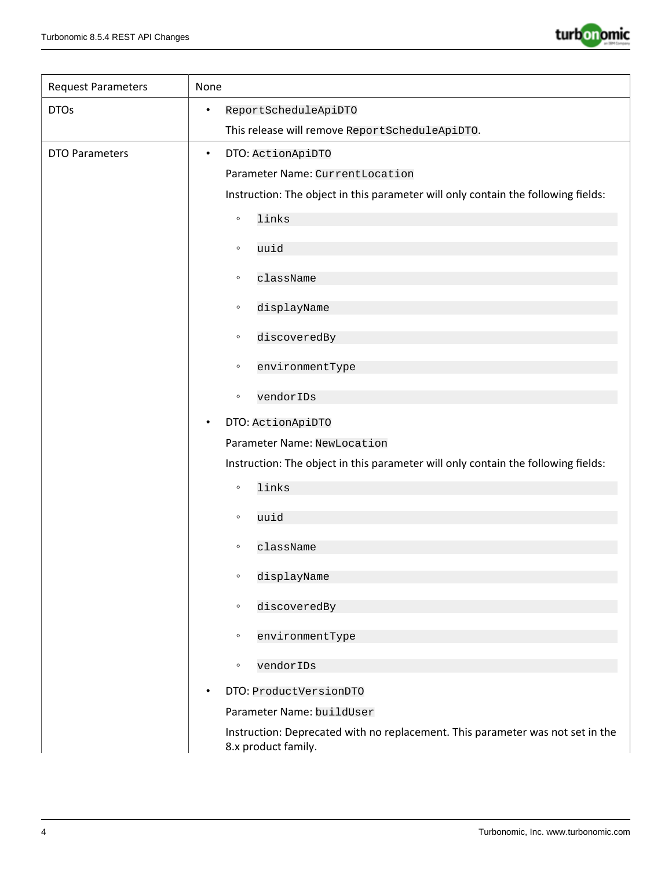

| <b>Request Parameters</b> | None                                                                                                  |
|---------------------------|-------------------------------------------------------------------------------------------------------|
| <b>DTOs</b>               | ReportScheduleApiDTO<br>$\bullet$                                                                     |
|                           | This release will remove ReportScheduleApiDTO.                                                        |
| <b>DTO Parameters</b>     | DTO: ActionApiDTO<br>$\bullet$                                                                        |
|                           | Parameter Name: CurrentLocation                                                                       |
|                           | Instruction: The object in this parameter will only contain the following fields:                     |
|                           | links<br>$\circ$                                                                                      |
|                           | uuid<br>$\circ$                                                                                       |
|                           |                                                                                                       |
|                           | className<br>$\circ$                                                                                  |
|                           | displayName<br>$\circ$                                                                                |
|                           | discoveredBy<br>$\circ$                                                                               |
|                           | environmentType<br>$\circ$                                                                            |
|                           | vendorIDs<br>$\circ$                                                                                  |
|                           | DTO: ActionApiDTO<br>$\bullet$                                                                        |
|                           | Parameter Name: NewLocation                                                                           |
|                           | Instruction: The object in this parameter will only contain the following fields:                     |
|                           | links<br>$\circ$                                                                                      |
|                           | uuid<br>$\circ$                                                                                       |
|                           |                                                                                                       |
|                           | className<br>$\circ$                                                                                  |
|                           | displayName<br>$\circ$                                                                                |
|                           | discoveredBy<br>$\circ$                                                                               |
|                           | environmentType<br>$\circ$                                                                            |
|                           | vendorIDs<br>$\circ$                                                                                  |
|                           | DTO: ProductVersionDTO<br>$\bullet$                                                                   |
|                           | Parameter Name: buildUser                                                                             |
|                           | Instruction: Deprecated with no replacement. This parameter was not set in the<br>8.x product family. |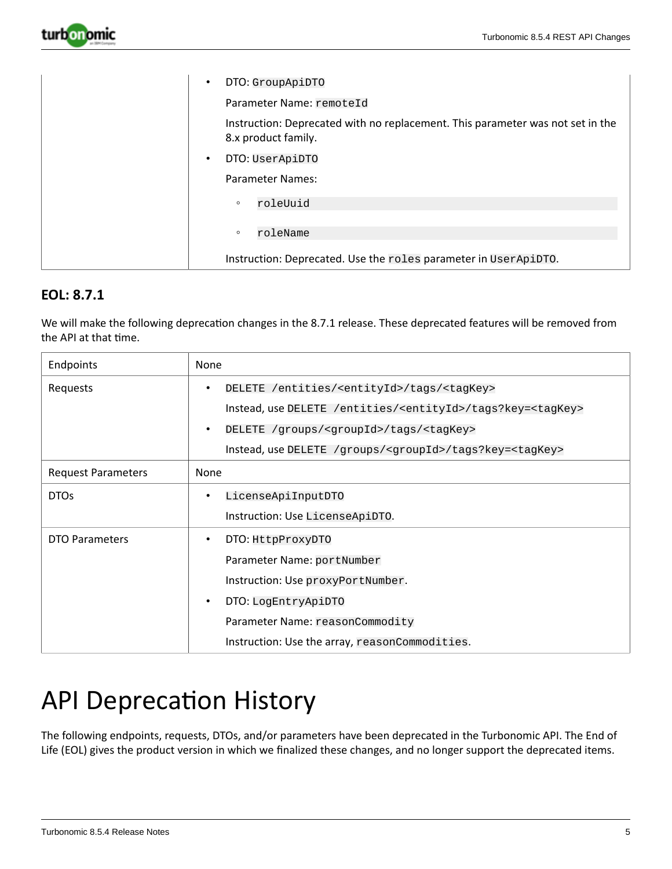

| DTO: GroupApiDTO<br>$\bullet$<br>Parameter Name: remoteId                                             |
|-------------------------------------------------------------------------------------------------------|
| Instruction: Deprecated with no replacement. This parameter was not set in the<br>8.x product family. |
| DTO: UserApiDTO<br>$\bullet$                                                                          |
| Parameter Names:                                                                                      |
| roleUuid<br>$\circ$                                                                                   |
| roleName<br>$\circ$                                                                                   |
| Instruction: Deprecated. Use the roles parameter in UserApiDTO.                                       |

### **EOL: 8.7.1**

We will make the following deprecation changes in the 8.7.1 release. These deprecated features will be removed from the API at that time.

| Endpoints                 | None                                                                                                                                                                                                                                                                                                                                                                              |
|---------------------------|-----------------------------------------------------------------------------------------------------------------------------------------------------------------------------------------------------------------------------------------------------------------------------------------------------------------------------------------------------------------------------------|
| Requests                  | DELETE /entities/ <entityid>/tags/<tagkey><br/><math display="block">\bullet</math><br/>Instead, use DELETE /entities/<entityid>/tags?key=<tagkey><br/>DELETE /groups/<groupid>/tags/<tagkey><br/><math display="inline">\bullet</math><br/>Instead, use DELETE /groups/<groupid>/tags?key=<tagkey></tagkey></groupid></tagkey></groupid></tagkey></entityid></tagkey></entityid> |
| <b>Request Parameters</b> | None                                                                                                                                                                                                                                                                                                                                                                              |
| <b>DTOs</b>               | LicenseApiInputDTO<br>٠<br>Instruction: Use LicenseApiDTO.                                                                                                                                                                                                                                                                                                                        |
| <b>DTO Parameters</b>     | DTO: HttpProxyDTO<br>٠<br>Parameter Name: portNumber<br>Instruction: Use proxyPortNumber.<br>DTO: LogEntryApiDTO<br>$\bullet$<br>Parameter Name: reasonCommodity<br>Instruction: Use the array, reasonCommodities.                                                                                                                                                                |

# API Deprecation History

The following endpoints, requests, DTOs, and/or parameters have been deprecated in the Turbonomic API. The End of Life (EOL) gives the product version in which we finalized these changes, and no longer support the deprecated items.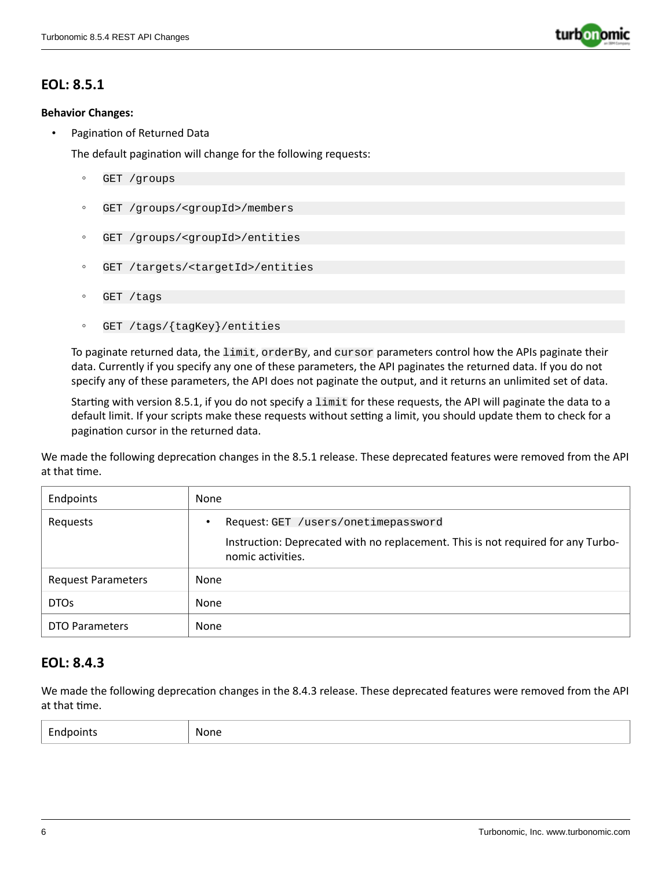

### **EOL: 8.5.1**

#### **Behavior Changes:**

• Pagination of Returned Data

The default pagination will change for the following requests:

- GET /groups
- GET /groups/<groupId>/members
- GET /groups/<groupId>/entities
- GET /targets/<targetId>/entities
- GET /tags
- GET /tags/{tagKey}/entities

To paginate returned data, the limit, orderBy, and cursor parameters control how the APIs paginate their data. Currently if you specify any one of these parameters, the API paginates the returned data. If you do not specify any of these parameters, the API does not paginate the output, and it returns an unlimited set of data.

Starting with version 8.5.1, if you do not specify a limit for these requests, the API will paginate the data to a default limit. If your scripts make these requests without setting a limit, you should update them to check for a pagination cursor in the returned data.

We made the following deprecation changes in the 8.5.1 release. These deprecated features were removed from the API at that time.

| Endpoints                 | None                                                                                                                    |
|---------------------------|-------------------------------------------------------------------------------------------------------------------------|
| Requests                  | Request: GET /users/onetimepassword<br>Instruction: Deprecated with no replacement. This is not required for any Turbo- |
|                           | nomic activities.                                                                                                       |
| <b>Request Parameters</b> | None                                                                                                                    |
| <b>DTOs</b>               | None                                                                                                                    |
| <b>DTO Parameters</b>     | None                                                                                                                    |

### **EOL: 8.4.3**

We made the following deprecation changes in the 8.4.3 release. These deprecated features were removed from the API at that time.

| $\overline{\phantom{a}}$<br>points<br>$\sim$<br>-- | None |
|----------------------------------------------------|------|
|----------------------------------------------------|------|